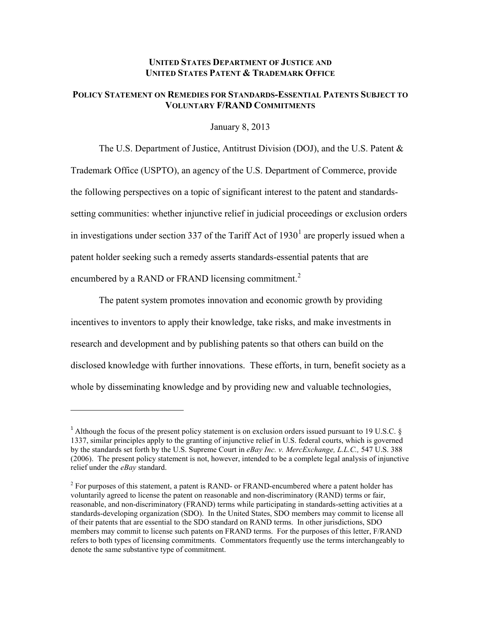## **UNITED STATES DEPARTMENT OF JUSTICE AND UNITED STATES PATENT & TRADEMARK OFFICE**

## **POLICY STATEMENT ON REMEDIES FOR STANDARDS-ESSENTIAL PATENTS SUBJECT TO VOLUNTARY F/RAND COMMITMENTS**

January 8, 2013

The U.S. Department of Justice, Antitrust Division (DOJ), and the U.S. Patent & Trademark Office (USPTO), an agency of the U.S. Department of Commerce, provide the following perspectives on a topic of significant interest to the patent and standardssetting communities: whether injunctive relief in judicial proceedings or exclusion orders in investigations under section 337 of the Tariff Act of  $1930<sup>1</sup>$  are properly issued when a patent holder seeking such a remedy asserts standards-essential patents that are encumbered by a RAND or FRAND licensing commitment.<sup>2</sup>

The patent system promotes innovation and economic growth by providing incentives to inventors to apply their knowledge, take risks, and make investments in research and development and by publishing patents so that others can build on the disclosed knowledge with further innovations. These efforts, in turn, benefit society as a whole by disseminating knowledge and by providing new and valuable technologies,

<sup>&</sup>lt;sup>1</sup> Although the focus of the present policy statement is on exclusion orders issued pursuant to 19 U.S.C.  $\S$ 1337, similar principles apply to the granting of injunctive relief in U.S. federal courts, which is governed by the standards set forth by the U.S. Supreme Court in *eBay Inc. v. MercExchange, L.L.C.,* 547 U.S. 388 (2006). The present policy statement is not, however, intended to be a complete legal analysis of injunctive relief under the *eBay* standard.

 $2^2$  For purposes of this statement, a patent is RAND- or FRAND-encumbered where a patent holder has voluntarily agreed to license the patent on reasonable and non-discriminatory (RAND) terms or fair, reasonable, and non-discriminatory (FRAND) terms while participating in standards-setting activities at a standards-developing organization (SDO). In the United States, SDO members may commit to license all of their patents that are essential to the SDO standard on RAND terms. In other jurisdictions, SDO members may commit to license such patents on FRAND terms. For the purposes of this letter, F/RAND refers to both types of licensing commitments. Commentators frequently use the terms interchangeably to denote the same substantive type of commitment.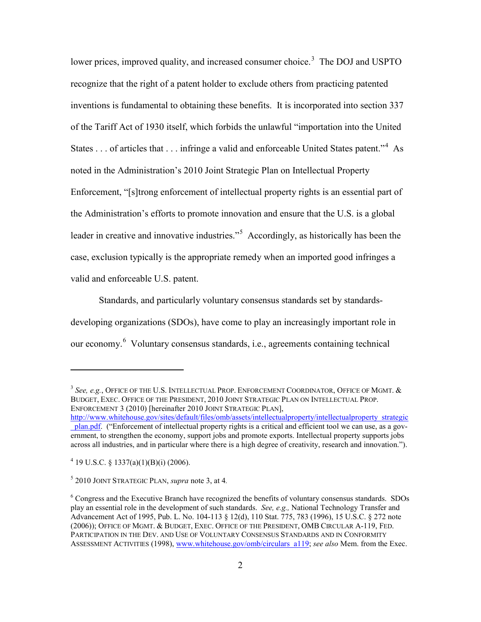lower prices, improved quality, and increased consumer choice.<sup>3</sup> The DOJ and USPTO recognize that the right of a patent holder to exclude others from practicing patented inventions is fundamental to obtaining these benefits. It is incorporated into section 337 of the Tariff Act of 1930 itself, which forbids the unlawful "importation into the United States . . . of articles that . . . infringe a valid and enforceable United States patent."<sup>4</sup> As noted in the Administration's 2010 Joint Strategic Plan on Intellectual Property Enforcement, "[s]trong enforcement of intellectual property rights is an essential part of the Administration's efforts to promote innovation and ensure that the U.S. is a global leader in creative and innovative industries."<sup>5</sup> Accordingly, as historically has been the case, exclusion typically is the appropriate remedy when an imported good infringes a valid and enforceable U.S. patent.

Standards, and particularly voluntary consensus standards set by standardsdeveloping organizations (SDOs), have come to play an increasingly important role in our economy.<sup>6</sup> Voluntary consensus standards, i.e., agreements containing technical

<sup>3</sup> *See, e.g.*, OFFICE OF THE U.S. INTELLECTUAL PROP. ENFORCEMENT COORDINATOR, OFFICE OF MGMT. & BUDGET, EXEC. OFFICE OF THE PRESIDENT, 2010 JOINT STRATEGIC PLAN ON INTELLECTUAL PROP. ENFORCEMENT 3 (2010) [hereinafter 2010 JOINT STRATEGIC PLAN].

http://www.whitehouse.gov/sites/default/files/omb/assets/intellectualproperty/intellectualproperty strategic plan.pdf. ("Enforcement of intellectual property rights is a critical and efficient tool we can use, as a government, to strengthen the economy, support jobs and promote exports. Intellectual property supports jobs across all industries, and in particular where there is a high degree of creativity, research and innovation.").

<sup>&</sup>lt;sup>4</sup> 19 U.S.C. § 1337(a)(1)(B)(i) (2006).

 $5$  2010 JOINT STRATEGIC PLAN, *supra* note 3, at 4.

<sup>6</sup> Congress and the Executive Branch have recognized the benefits of voluntary consensus standards. SDOs play an essential role in the development of such standards. *See, e.g.,* National Technology Transfer and Advancement Act of 1995, Pub. L. No. 104-113 § 12(d), 110 Stat. 775, 783 (1996), 15 U.S.C. § 272 note (2006)); OFFICE OF MGMT. & BUDGET, EXEC. OFFICE OF THE PRESIDENT, OMB CIRCULAR A-119, FED. PARTICIPATION IN THE DEV. AND USE OF VOLUNTARY CONSENSUS STANDARDS AND IN CONFORMITY ASSESSMENT ACTIVITIES (1998), www.whitehouse.gov/omb/circulars a119; *see also* Mem. from the Exec.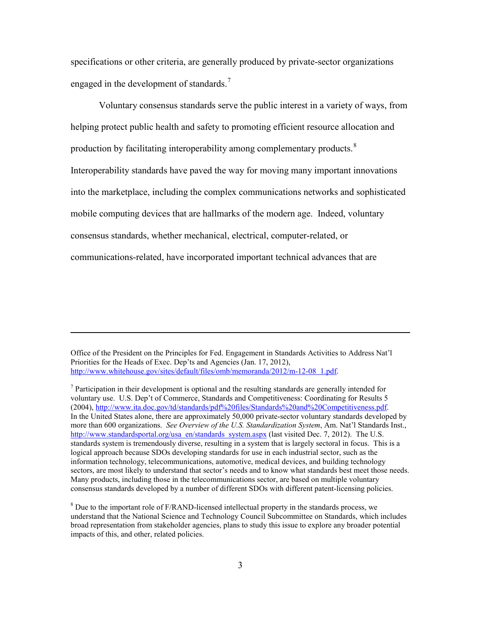specifications or other criteria, are generally produced by private-sector organizations engaged in the development of standards.<sup>7</sup>

Voluntary consensus standards serve the public interest in a variety of ways, from helping protect public health and safety to promoting efficient resource allocation and production by facilitating interoperability among complementary products. $8$ Interoperability standards have paved the way for moving many important innovations into the marketplace, including the complex communications networks and sophisticated mobile computing devices that are hallmarks of the modern age. Indeed, voluntary consensus standards, whether mechanical, electrical, computer-related, or communications-related, have incorporated important technical advances that are

Office of the President on the Principles for Fed. Engagement in Standards Activities to Address Nat'l Priorities for the Heads of Exec. Dep'ts and Agencies (Jan. 17, 2012), http://www.whitehouse.gov/sites/default/files/omb/memoranda/2012/m-12-08 1.pdf.

l

 $<sup>7</sup>$  Participation in their development is optional and the resulting standards are generally intended for</sup> voluntary use. U.S. Dep't of Commerce, Standards and Competitiveness: Coordinating for Results 5 (2004), http://www.ita.doc.gov/td/standards/pdf%20files/Standards%20and%20Competitiveness.pdf. In the United States alone, there are approximately 50,000 private-sector voluntary standards developed by more than 600 organizations. *See Overview of the U.S. Standardization System*, Am. Nat'l Standards Inst., http://www.standardsportal.org/usa en/standards system.aspx (last visited Dec. 7, 2012). The U.S. standards system is tremendously diverse, resulting in a system that is largely sectoral in focus. This is a logical approach because SDOs developing standards for use in each industrial sector, such as the information technology, telecommunications, automotive, medical devices, and building technology sectors, are most likely to understand that sector's needs and to know what standards best meet those needs. Many products, including those in the telecommunications sector, are based on multiple voluntary consensus standards developed by a number of different SDOs with different patent-licensing policies.

<sup>8</sup> Due to the important role of F/RAND-licensed intellectual property in the standards process, we understand that the National Science and Technology Council Subcommittee on Standards, which includes broad representation from stakeholder agencies, plans to study this issue to explore any broader potential impacts of this, and other, related policies.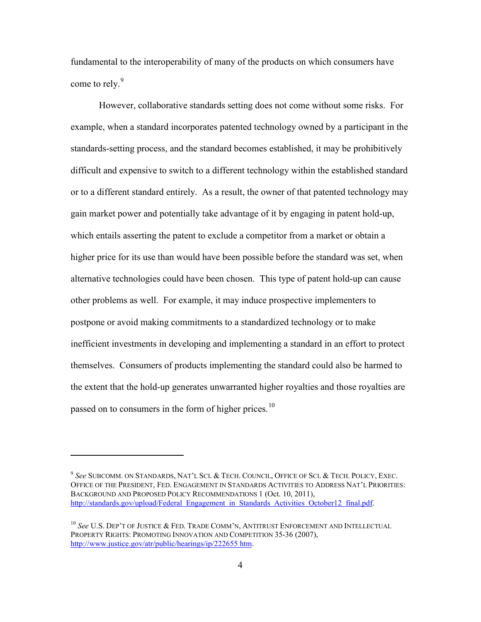fundamental to the interoperability of many of the products on which consumers have come to rely.<sup>9</sup>

However, collaborative standards setting does not come without some risks. For example, when a standard incorporates patented technology owned by a participant in the standards-setting process, and the standard becomes established, it may be prohibitively difficult and expensive to switch to a different technology within the established standard or to a different standard entirely. As a result, the owner of that patented technology may gain market power and potentially take advantage of it by engaging in patent hold-up, which entails asserting the patent to exclude a competitor from a market or obtain a higher price for its use than would have been possible before the standard was set, when alternative technologies could have been chosen. This type of patent hold-up can cause other problems as well. For example, it may induce prospective implementers to postpone or avoid making commitments to a standardized technology or to make inefficient investments in developing and implementing a standard in an effort to protect themselves. Consumers of products implementing the standard could also be harmed to the extent that the hold-up generates unwarranted higher royalties and those royalties are passed on to consumers in the form of higher prices.<sup>10</sup>

<sup>9</sup> *See* SUBCOMM. ON STANDARDS, NAT'L SCI. & TECH. COUNCIL, OFFICE OF SCI. & TECH. POLICY, EXEC. OFFICE OF THE PRESIDENT, FED. ENGAGEMENT IN STANDARDS ACTIVITIES TO ADDRESS NAT'L PRIORITIES: BACKGROUND AND PROPOSED POLICY RECOMMENDATIONS 1 (Oct. 10, 2011), http://standards.gov/upload/Federal Engagement in Standards Activities October12 final.pdf.

<sup>10</sup> *See* U.S. DEP'T OF JUSTICE & FED. TRADE COMM'N, ANTITRUST ENFORCEMENT AND INTELLECTUAL PROPERTY RIGHTS: PROMOTING INNOVATION AND COMPETITION 35-36 (2007), http://www.justice.gov/atr/public/hearings/ip/222655 htm.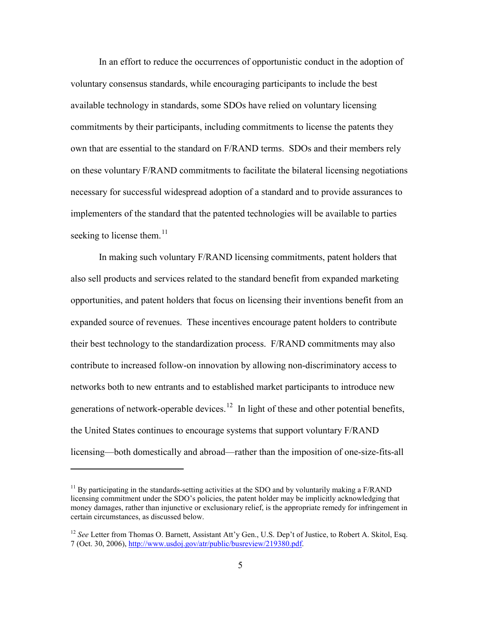In an effort to reduce the occurrences of opportunistic conduct in the adoption of voluntary consensus standards, while encouraging participants to include the best available technology in standards, some SDOs have relied on voluntary licensing commitments by their participants, including commitments to license the patents they own that are essential to the standard on F/RAND terms. SDOs and their members rely on these voluntary F/RAND commitments to facilitate the bilateral licensing negotiations necessary for successful widespread adoption of a standard and to provide assurances to implementers of the standard that the patented technologies will be available to parties seeking to license them.<sup>11</sup>

In making such voluntary F/RAND licensing commitments, patent holders that also sell products and services related to the standard benefit from expanded marketing opportunities, and patent holders that focus on licensing their inventions benefit from an expanded source of revenues. These incentives encourage patent holders to contribute their best technology to the standardization process. F/RAND commitments may also contribute to increased follow-on innovation by allowing non-discriminatory access to networks both to new entrants and to established market participants to introduce new generations of network-operable devices.<sup>12</sup> In light of these and other potential benefits, the United States continues to encourage systems that support voluntary F/RAND licensing—both domestically and abroad—rather than the imposition of one-size-fits-all

 $11$  By participating in the standards-setting activities at the SDO and by voluntarily making a F/RAND licensing commitment under the SDO's policies, the patent holder may be implicitly acknowledging that money damages, rather than injunctive or exclusionary relief, is the appropriate remedy for infringement in certain circumstances, as discussed below.

<sup>&</sup>lt;sup>12</sup> See Letter from Thomas O. Barnett, Assistant Att'y Gen., U.S. Dep't of Justice, to Robert A. Skitol, Esq. 7 (Oct. 30, 2006), http://www.usdoj.gov/atr/public/busreview/219380.pdf.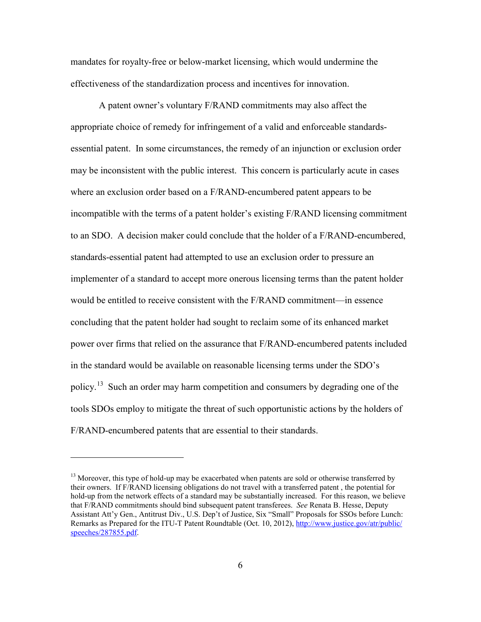mandates for royalty-free or below-market licensing, which would undermine the effectiveness of the standardization process and incentives for innovation.

A patent owner's voluntary F/RAND commitments may also affect the appropriate choice of remedy for infringement of a valid and enforceable standardsessential patent. In some circumstances, the remedy of an injunction or exclusion order may be inconsistent with the public interest. This concern is particularly acute in cases where an exclusion order based on a F/RAND-encumbered patent appears to be incompatible with the terms of a patent holder's existing F/RAND licensing commitment to an SDO. A decision maker could conclude that the holder of a F/RAND-encumbered, standards-essential patent had attempted to use an exclusion order to pressure an implementer of a standard to accept more onerous licensing terms than the patent holder would be entitled to receive consistent with the F/RAND commitment—in essence concluding that the patent holder had sought to reclaim some of its enhanced market power over firms that relied on the assurance that F/RAND-encumbered patents included in the standard would be available on reasonable licensing terms under the SDO's policy.<sup>13</sup> Such an order may harm competition and consumers by degrading one of the tools SDOs employ to mitigate the threat of such opportunistic actions by the holders of F/RAND-encumbered patents that are essential to their standards.

 $<sup>13</sup>$  Moreover, this type of hold-up may be exacerbated when patents are sold or otherwise transferred by</sup> their owners. If F/RAND licensing obligations do not travel with a transferred patent , the potential for hold-up from the network effects of a standard may be substantially increased. For this reason, we believe that F/RAND commitments should bind subsequent patent transferees. *See* Renata B. Hesse, Deputy Assistant Att'y Gen., Antitrust Div., U.S. Dep't of Justice, Six "Small" Proposals for SSOs before Lunch: Remarks as Prepared for the ITU-T Patent Roundtable (Oct. 10, 2012), http://www.justice.gov/atr/public/ speeches/287855.pdf.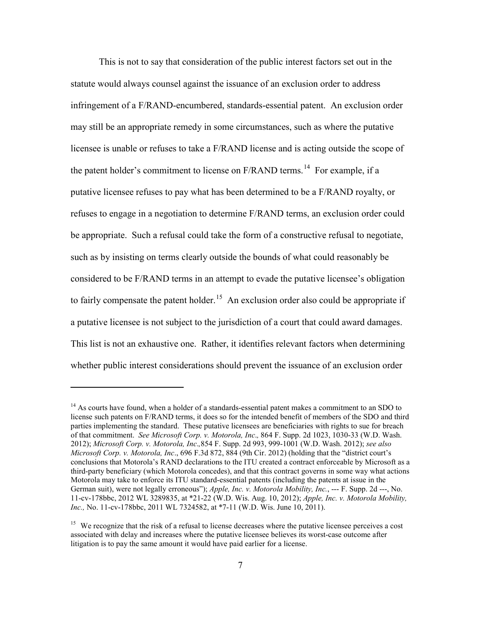This is not to say that consideration of the public interest factors set out in the statute would always counsel against the issuance of an exclusion order to address infringement of a F/RAND-encumbered, standards-essential patent. An exclusion order may still be an appropriate remedy in some circumstances, such as where the putative licensee is unable or refuses to take a F/RAND license and is acting outside the scope of the patent holder's commitment to license on  $F/RAND$  terms.<sup>14</sup> For example, if a putative licensee refuses to pay what has been determined to be a F/RAND royalty, or refuses to engage in a negotiation to determine F/RAND terms, an exclusion order could be appropriate. Such a refusal could take the form of a constructive refusal to negotiate, such as by insisting on terms clearly outside the bounds of what could reasonably be considered to be F/RAND terms in an attempt to evade the putative licensee's obligation to fairly compensate the patent holder.<sup>15</sup> An exclusion order also could be appropriate if a putative licensee is not subject to the jurisdiction of a court that could award damages. This list is not an exhaustive one. Rather, it identifies relevant factors when determining whether public interest considerations should prevent the issuance of an exclusion order

<sup>&</sup>lt;sup>14</sup> As courts have found, when a holder of a standards-essential patent makes a commitment to an SDO to license such patents on F/RAND terms, it does so for the intended benefit of members of the SDO and third parties implementing the standard. These putative licensees are beneficiaries with rights to sue for breach of that commitment. *See Microsoft Corp. v. Motorola, Inc*.*,* 864 F. Supp. 2d 1023, 1030-33 (W.D. Wash. 2012); *Microsoft Corp. v. Motorola, Inc*.*,*854 F. Supp. 2d 993, 999-1001 (W.D. Wash. 2012); *see also Microsoft Corp. v. Motorola, Inc*., 696 F.3d 872, 884 (9th Cir. 2012) (holding that the "district court's conclusions that Motorola's RAND declarations to the ITU created a contract enforceable by Microsoft as a third-party beneficiary (which Motorola concedes), and that this contract governs in some way what actions Motorola may take to enforce its ITU standard-essential patents (including the patents at issue in the German suit), were not legally erroneous"); *Apple, Inc. v. Motorola Mobility, Inc.*, --- F. Supp. 2d ---, No. 11-cv-178bbc, 2012 WL 3289835, at \*21-22 (W.D. Wis. Aug. 10, 2012); *Apple, Inc. v. Motorola Mobility, Inc.,* No. 11-cv-178bbc, 2011 WL 7324582, at \*7-11 (W.D. Wis. June 10, 2011).

<sup>&</sup>lt;sup>15</sup> We recognize that the risk of a refusal to license decreases where the putative licensee perceives a cost associated with delay and increases where the putative licensee believes its worst-case outcome after litigation is to pay the same amount it would have paid earlier for a license.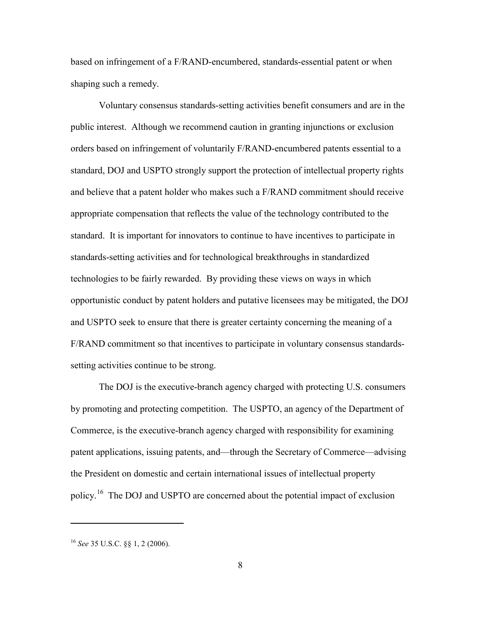based on infringement of a F/RAND-encumbered, standards-essential patent or when shaping such a remedy.

Voluntary consensus standards-setting activities benefit consumers and are in the public interest. Although we recommend caution in granting injunctions or exclusion orders based on infringement of voluntarily F/RAND-encumbered patents essential to a standard, DOJ and USPTO strongly support the protection of intellectual property rights and believe that a patent holder who makes such a F/RAND commitment should receive appropriate compensation that reflects the value of the technology contributed to the standard. It is important for innovators to continue to have incentives to participate in standards-setting activities and for technological breakthroughs in standardized technologies to be fairly rewarded. By providing these views on ways in which opportunistic conduct by patent holders and putative licensees may be mitigated, the DOJ and USPTO seek to ensure that there is greater certainty concerning the meaning of a F/RAND commitment so that incentives to participate in voluntary consensus standardssetting activities continue to be strong.

The DOJ is the executive-branch agency charged with protecting U.S. consumers by promoting and protecting competition. The USPTO, an agency of the Department of Commerce, is the executive-branch agency charged with responsibility for examining patent applications, issuing patents, and—through the Secretary of Commerce—advising the President on domestic and certain international issues of intellectual property policy.16 The DOJ and USPTO are concerned about the potential impact of exclusion

<sup>16</sup> *See* 35 U.S.C. §§ 1, 2 (2006).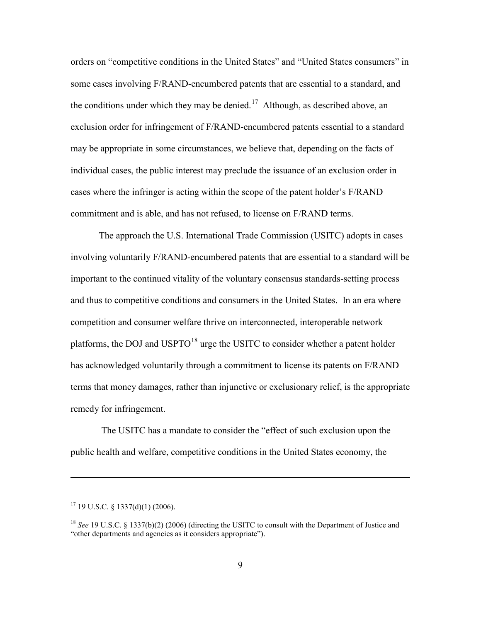orders on "competitive conditions in the United States" and "United States consumers" in some cases involving F/RAND-encumbered patents that are essential to a standard, and the conditions under which they may be denied.<sup>17</sup> Although, as described above, an exclusion order for infringement of F/RAND-encumbered patents essential to a standard may be appropriate in some circumstances, we believe that, depending on the facts of individual cases, the public interest may preclude the issuance of an exclusion order in cases where the infringer is acting within the scope of the patent holder's F/RAND commitment and is able, and has not refused, to license on F/RAND terms.

The approach the U.S. International Trade Commission (USITC) adopts in cases involving voluntarily F/RAND-encumbered patents that are essential to a standard will be important to the continued vitality of the voluntary consensus standards-setting process and thus to competitive conditions and consumers in the United States. In an era where competition and consumer welfare thrive on interconnected, interoperable network platforms, the DOJ and  $USPTO<sup>18</sup>$  urge the USITC to consider whether a patent holder has acknowledged voluntarily through a commitment to license its patents on F/RAND terms that money damages, rather than injunctive or exclusionary relief, is the appropriate remedy for infringement.

The USITC has a mandate to consider the "effect of such exclusion upon the public health and welfare, competitive conditions in the United States economy, the

 $17$  19 U.S.C. § 1337(d)(1) (2006).

<sup>18</sup> *See* 19 U.S.C. § 1337(b)(2) (2006) (directing the USITC to consult with the Department of Justice and "other departments and agencies as it considers appropriate").